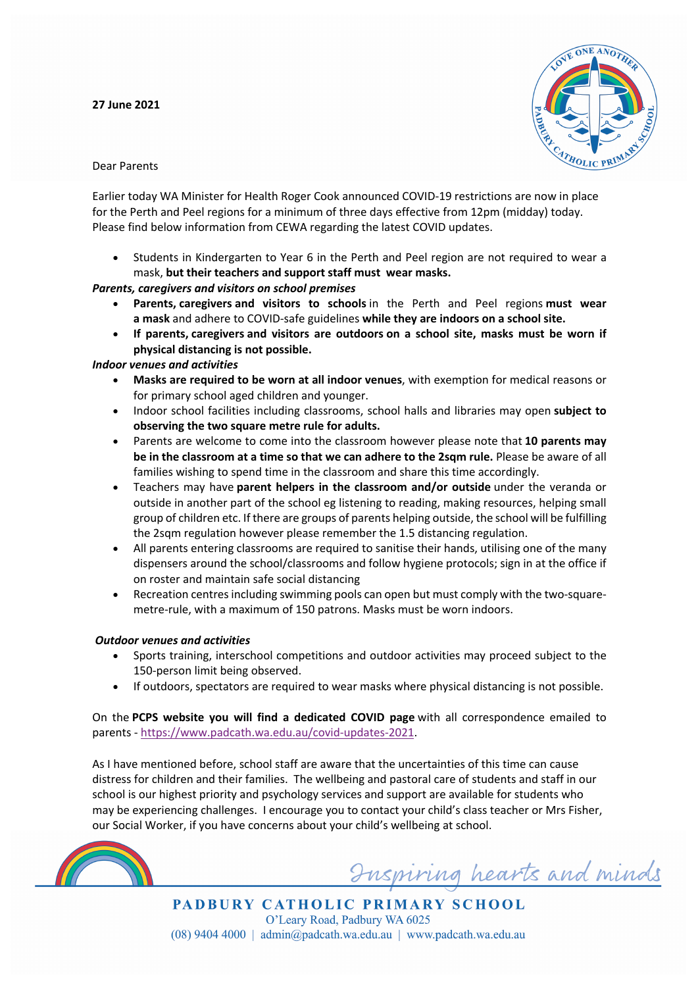**27 June 2021**



Dear Parents

Earlier today WA Minister for Health Roger Cook announced COVID-19 restrictions are now in place for the Perth and Peel regions for a minimum of three days effective from 12pm (midday) today. Please find below information from CEWA regarding the latest COVID updates.

• Students in Kindergarten to Year 6 in the Perth and Peel region are not required to wear a mask, **but their teachers and support staff must wear masks.**

### *Parents, caregivers and visitors on school premises*

- **Parents, caregivers and visitors to schools** in the Perth and Peel regions **must wear a mask** and adhere to COVID-safe guidelines **while they are indoors on a school site.**
- **If parents, caregivers and visitors are outdoors on a school site, masks must be worn if physical distancing is not possible.**

## *Indoor venues and activities*

- **Masks are required to be worn at all indoor venues**, with exemption for medical reasons or for primary school aged children and younger.
- Indoor school facilities including classrooms, school halls and libraries may open **subject to observing the two square metre rule for adults.**
- Parents are welcome to come into the classroom however please note that **10 parents may be in the classroom at a time so that we can adhere to the 2sqm rule.** Please be aware of all families wishing to spend time in the classroom and share this time accordingly.
- Teachers may have **parent helpers in the classroom and/or outside** under the veranda or outside in another part of the school eg listening to reading, making resources, helping small group of children etc. If there are groups of parents helping outside, the school will be fulfilling the 2sqm regulation however please remember the 1.5 distancing regulation.
- All parents entering classrooms are required to sanitise their hands, utilising one of the many dispensers around the school/classrooms and follow hygiene protocols; sign in at the office if on roster and maintain safe social distancing
- Recreation centres including swimming pools can open but must comply with the two-squaremetre-rule, with a maximum of 150 patrons. Masks must be worn indoors.

# *Outdoor venues and activities*

- Sports training, interschool competitions and outdoor activities may proceed subject to the 150-person limit being observed.
- If outdoors, spectators are required to wear masks where physical distancing is not possible.

On the **PCPS website you will find a dedicated COVID page** with all correspondence emailed to parents - https://www.padcath.wa.edu.au/covid-updates-2021.

As I have mentioned before, school staff are aware that the uncertainties of this time can cause distress for children and their families. The wellbeing and pastoral care of students and staff in our school is our highest priority and psychology services and support are available for students who may be experiencing challenges. I encourage you to contact your child's class teacher or Mrs Fisher, our Social Worker, if you have concerns about your child's wellbeing at school.



Inspiring hearts and minds

**PADBURY CATHOLIC PRIMARY SCHOOL** O'Leary Road, Padbury WA 6025  $(08)$  9404 4000 | admin@padcath.wa.edu.au | www.padcath.wa.edu.au